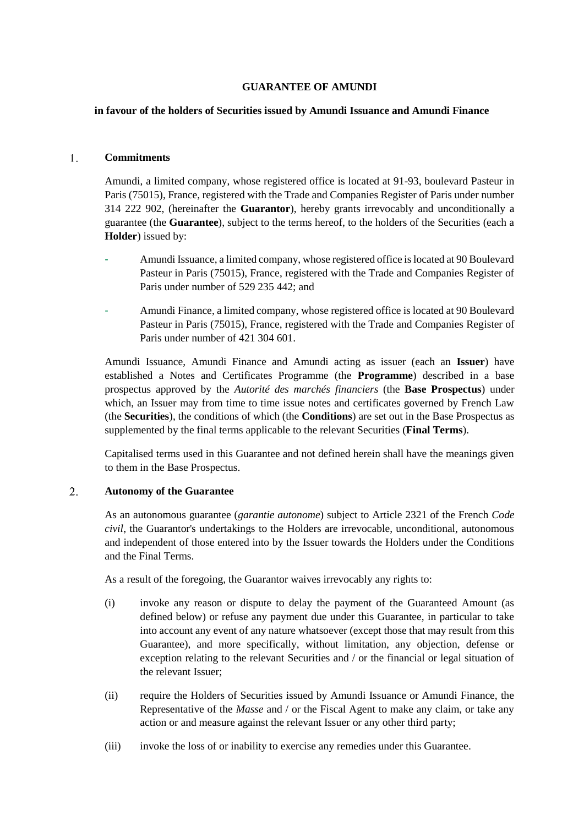## **GUARANTEE OF AMUNDI**

### **in favour of the holders of Securities issued by Amundi Issuance and Amundi Finance**

#### $1<sup>1</sup>$ **Commitments**

Amundi, a limited company, whose registered office is located at 91-93, boulevard Pasteur in Paris (75015), France, registered with the Trade and Companies Register of Paris under number 314 222 902, (hereinafter the **Guarantor**), hereby grants irrevocably and unconditionally a guarantee (the **Guarantee**), subject to the terms hereof, to the holders of the Securities (each a **Holder**) issued by:

- Amundi Issuance, a limited company, whose registered office is located at 90 Boulevard Pasteur in Paris (75015), France, registered with the Trade and Companies Register of Paris under number of 529 235 442; and
- Amundi Finance, a limited company, whose registered office is located at 90 Boulevard Pasteur in Paris (75015), France, registered with the Trade and Companies Register of Paris under number of 421 304 601.

Amundi Issuance, Amundi Finance and Amundi acting as issuer (each an **Issuer**) have established a Notes and Certificates Programme (the **Programme**) described in a base prospectus approved by the *Autorité des marchés financiers* (the **Base Prospectus**) under which, an Issuer may from time to time issue notes and certificates governed by French Law (the **Securities**), the conditions of which (the **Conditions**) are set out in the Base Prospectus as supplemented by the final terms applicable to the relevant Securities (**Final Terms**).

Capitalised terms used in this Guarantee and not defined herein shall have the meanings given to them in the Base Prospectus.

#### $2.$ **Autonomy of the Guarantee**

As an autonomous guarantee (*garantie autonome*) subject to Article 2321 of the French *Code civil*, the Guarantor's undertakings to the Holders are irrevocable, unconditional, autonomous and independent of those entered into by the Issuer towards the Holders under the Conditions and the Final Terms.

As a result of the foregoing, the Guarantor waives irrevocably any rights to:

- (i) invoke any reason or dispute to delay the payment of the Guaranteed Amount (as defined below) or refuse any payment due under this Guarantee, in particular to take into account any event of any nature whatsoever (except those that may result from this Guarantee), and more specifically, without limitation, any objection, defense or exception relating to the relevant Securities and / or the financial or legal situation of the relevant Issuer;
- (ii) require the Holders of Securities issued by Amundi Issuance or Amundi Finance, the Representative of the *Masse* and / or the Fiscal Agent to make any claim, or take any action or and measure against the relevant Issuer or any other third party;
- (iii) invoke the loss of or inability to exercise any remedies under this Guarantee.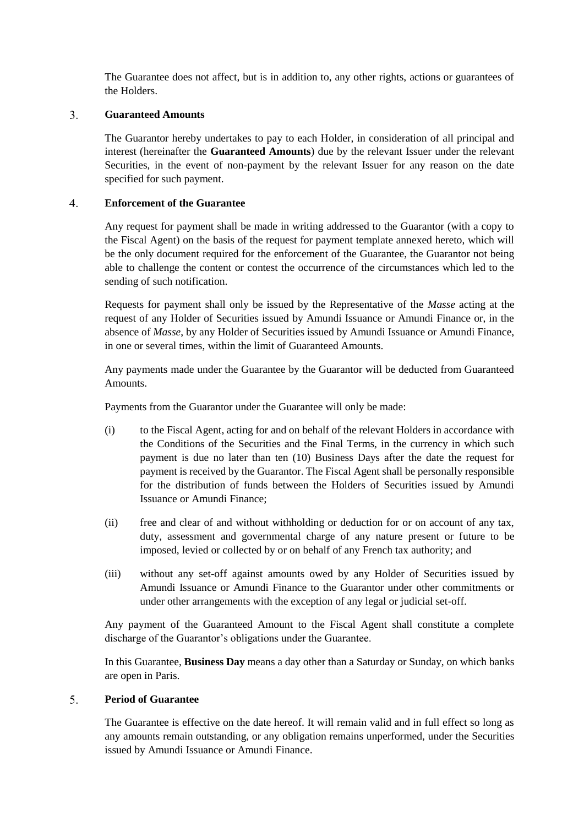The Guarantee does not affect, but is in addition to, any other rights, actions or guarantees of the Holders.

#### $\overline{3}$ . **Guaranteed Amounts**

The Guarantor hereby undertakes to pay to each Holder, in consideration of all principal and interest (hereinafter the **Guaranteed Amounts**) due by the relevant Issuer under the relevant Securities, in the event of non-payment by the relevant Issuer for any reason on the date specified for such payment.

#### $\overline{4}$ . **Enforcement of the Guarantee**

Any request for payment shall be made in writing addressed to the Guarantor (with a copy to the Fiscal Agent) on the basis of the request for payment template annexed hereto, which will be the only document required for the enforcement of the Guarantee, the Guarantor not being able to challenge the content or contest the occurrence of the circumstances which led to the sending of such notification.

Requests for payment shall only be issued by the Representative of the *Masse* acting at the request of any Holder of Securities issued by Amundi Issuance or Amundi Finance or, in the absence of *Masse*, by any Holder of Securities issued by Amundi Issuance or Amundi Finance, in one or several times, within the limit of Guaranteed Amounts.

Any payments made under the Guarantee by the Guarantor will be deducted from Guaranteed Amounts.

Payments from the Guarantor under the Guarantee will only be made:

- (i) to the Fiscal Agent, acting for and on behalf of the relevant Holders in accordance with the Conditions of the Securities and the Final Terms, in the currency in which such payment is due no later than ten (10) Business Days after the date the request for payment is received by the Guarantor. The Fiscal Agent shall be personally responsible for the distribution of funds between the Holders of Securities issued by Amundi Issuance or Amundi Finance;
- (ii) free and clear of and without withholding or deduction for or on account of any tax, duty, assessment and governmental charge of any nature present or future to be imposed, levied or collected by or on behalf of any French tax authority; and
- (iii) without any set-off against amounts owed by any Holder of Securities issued by Amundi Issuance or Amundi Finance to the Guarantor under other commitments or under other arrangements with the exception of any legal or judicial set-off.

Any payment of the Guaranteed Amount to the Fiscal Agent shall constitute a complete discharge of the Guarantor's obligations under the Guarantee.

In this Guarantee, **Business Day** means a day other than a Saturday or Sunday, on which banks are open in Paris.

#### $5<sub>1</sub>$ **Period of Guarantee**

The Guarantee is effective on the date hereof. It will remain valid and in full effect so long as any amounts remain outstanding, or any obligation remains unperformed, under the Securities issued by Amundi Issuance or Amundi Finance.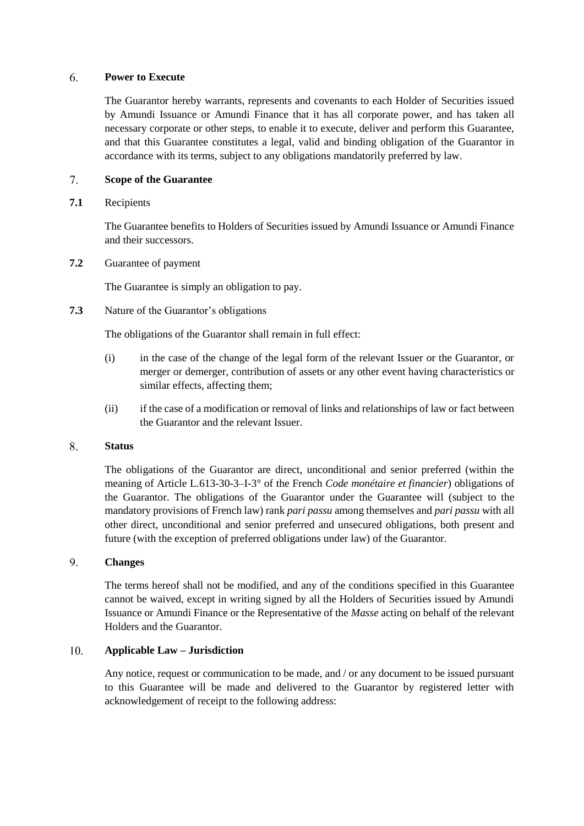#### 6. **Power to Execute**

The Guarantor hereby warrants, represents and covenants to each Holder of Securities issued by Amundi Issuance or Amundi Finance that it has all corporate power, and has taken all necessary corporate or other steps, to enable it to execute, deliver and perform this Guarantee, and that this Guarantee constitutes a legal, valid and binding obligation of the Guarantor in accordance with its terms, subject to any obligations mandatorily preferred by law.

#### $7<sup>7</sup>$ **Scope of the Guarantee**

# **7.1** Recipients

The Guarantee benefits to Holders of Securities issued by Amundi Issuance or Amundi Finance and their successors.

**7.2** Guarantee of payment

The Guarantee is simply an obligation to pay.

**7.3** Nature of the Guarantor's obligations

The obligations of the Guarantor shall remain in full effect:

- (i) in the case of the change of the legal form of the relevant Issuer or the Guarantor, or merger or demerger, contribution of assets or any other event having characteristics or similar effects, affecting them;
- (ii) if the case of a modification or removal of links and relationships of law or fact between the Guarantor and the relevant Issuer.

#### 8. **Status**

The obligations of the Guarantor are direct, unconditional and senior preferred (within the meaning of Article L.613-30-3–I-3° of the French *Code monétaire et financier*) obligations of the Guarantor. The obligations of the Guarantor under the Guarantee will (subject to the mandatory provisions of French law) rank *pari passu* among themselves and *pari passu* with all other direct, unconditional and senior preferred and unsecured obligations, both present and future (with the exception of preferred obligations under law) of the Guarantor.

#### 9. **Changes**

The terms hereof shall not be modified, and any of the conditions specified in this Guarantee cannot be waived, except in writing signed by all the Holders of Securities issued by Amundi Issuance or Amundi Finance or the Representative of the *Masse* acting on behalf of the relevant Holders and the Guarantor.

#### $10<sub>1</sub>$ **Applicable Law – Jurisdiction**

Any notice, request or communication to be made, and / or any document to be issued pursuant to this Guarantee will be made and delivered to the Guarantor by registered letter with acknowledgement of receipt to the following address: